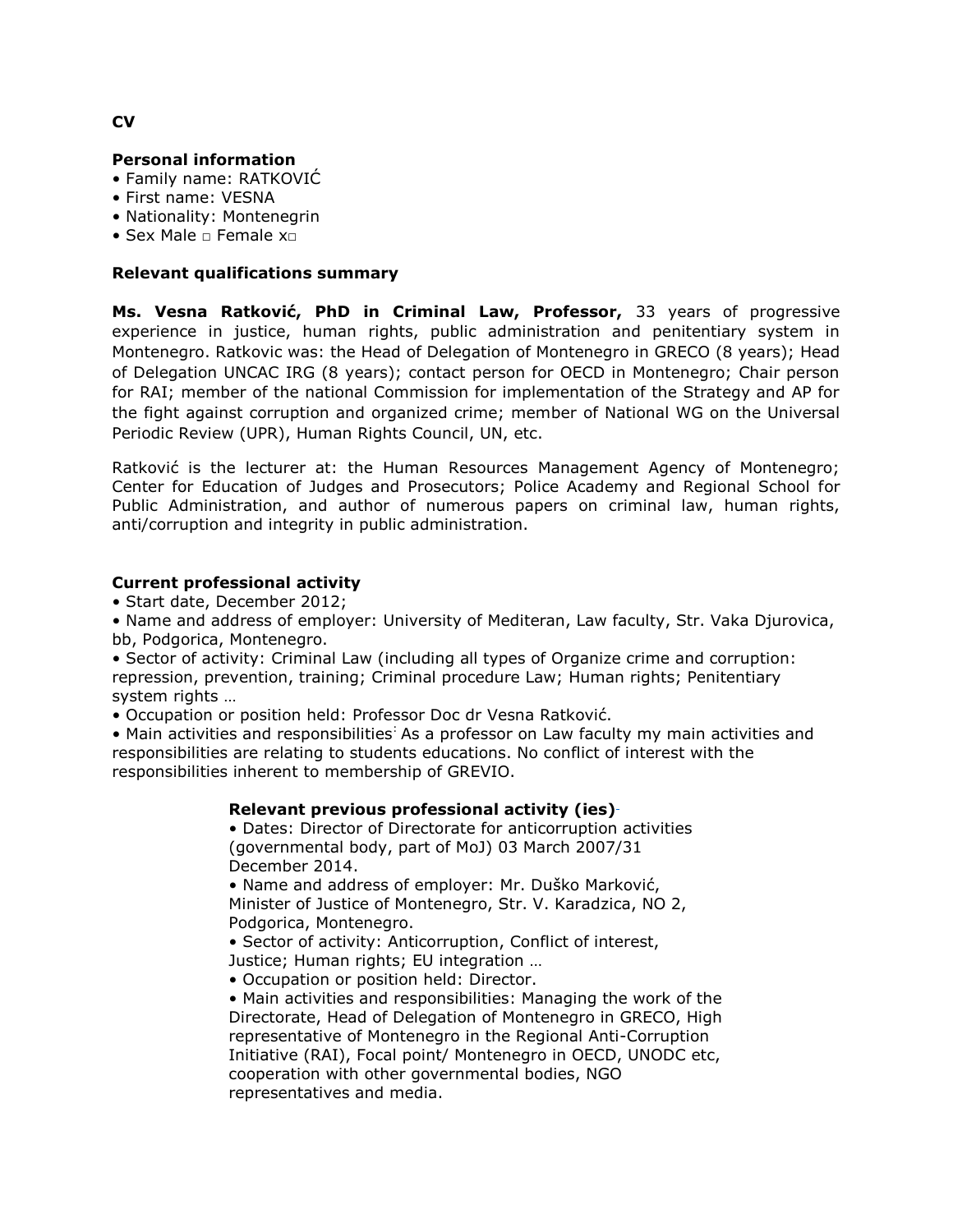#### **Personal information**

- Family name: RATKOVIĆ
- First name: VESNA
- Nationality: Montenegrin
- Sex Male  $□$  Female  $x□$

#### **Relevant qualifications summary**

**Ms. Vesna Ratković, PhD in Criminal Law, Professor,** 33 years of progressive experience in justice, human rights, public administration and penitentiary system in Montenegro. Ratkovic was: the Head of Delegation of Montenegro in GRECO (8 years); Head of Delegation UNCAC IRG (8 years); contact person for OECD in Montenegro; Chair person for RAI; member of the national Commission for implementation of the Strategy and AP for the fight against corruption and organized crime; member of National WG on the Universal Periodic Review (UPR), Human Rights Council, UN, etc.

Ratković is the lecturer at: the Human Resources Management Agency of Montenegro; Center for Education of Judges and Prosecutors; Police Academy and Regional School for Public Administration, and author of numerous papers on criminal law, human rights, anti/corruption and integrity in public administration.

#### **Current professional activity**

• Start date, December 2012;

• Name and address of employer: University of Mediteran, Law faculty, Str. Vaka Djurovica, bb, Podgorica, Montenegro.

• Sector of activity: Criminal Law (including all types of Organize crime and corruption: repression, prevention, training; Criminal procedure Law; Human rights; Penitentiary system rights …

• Occupation or position held: Professor Doc dr Vesna Ratković.

• Main activities and responsibilities<sup>:</sup> As a professor on Law faculty my main activities and responsibilities are relating to students educations. No conflict of interest with the responsibilities inherent to membership of GREVIO.

#### **Relevant previous professional activity (ies[\)](https://mail.gov.me/owa/redir.aspx?C=bbceda91deaa46ca871a995798d8bed3&URL=https%3a%2f%2fwcd.coe.int%2fViewDoc.jsp%3fRef%3dCM%2fRes(2014)43%26Language%3dlanFrench%26Ver%3doriginal%26Site%3dCOE%26BackColorInternet%3dDBDCF2%26BackColorIntranet%3dFDC864%26BackColorLogged%3dFDC864%23P143_8762)**

• Dates: Director of Directorate for anticorruption activities (governmental body, part of MoJ) 03 March 2007/31 December 2014.

• Name and address of employer: Mr. Duško Marković, Minister of Justice of Montenegro, Str. V. Karadzica, NO 2, Podgorica, Montenegro.

• Sector of activity: Anticorruption, Conflict of interest, Justice; Human rights; EU integration …

• Occupation or position held: Director.

• Main activities and responsibilities: Managing the work of the Directorate, Head of Delegation of Montenegro in GRECO, High representative of Montenegro in the Regional Anti-Corruption Initiative (RAI), Focal point/ Montenegro in OECD, UNODC etc, cooperation with other governmental bodies, NGO representatives and media.

## **CV**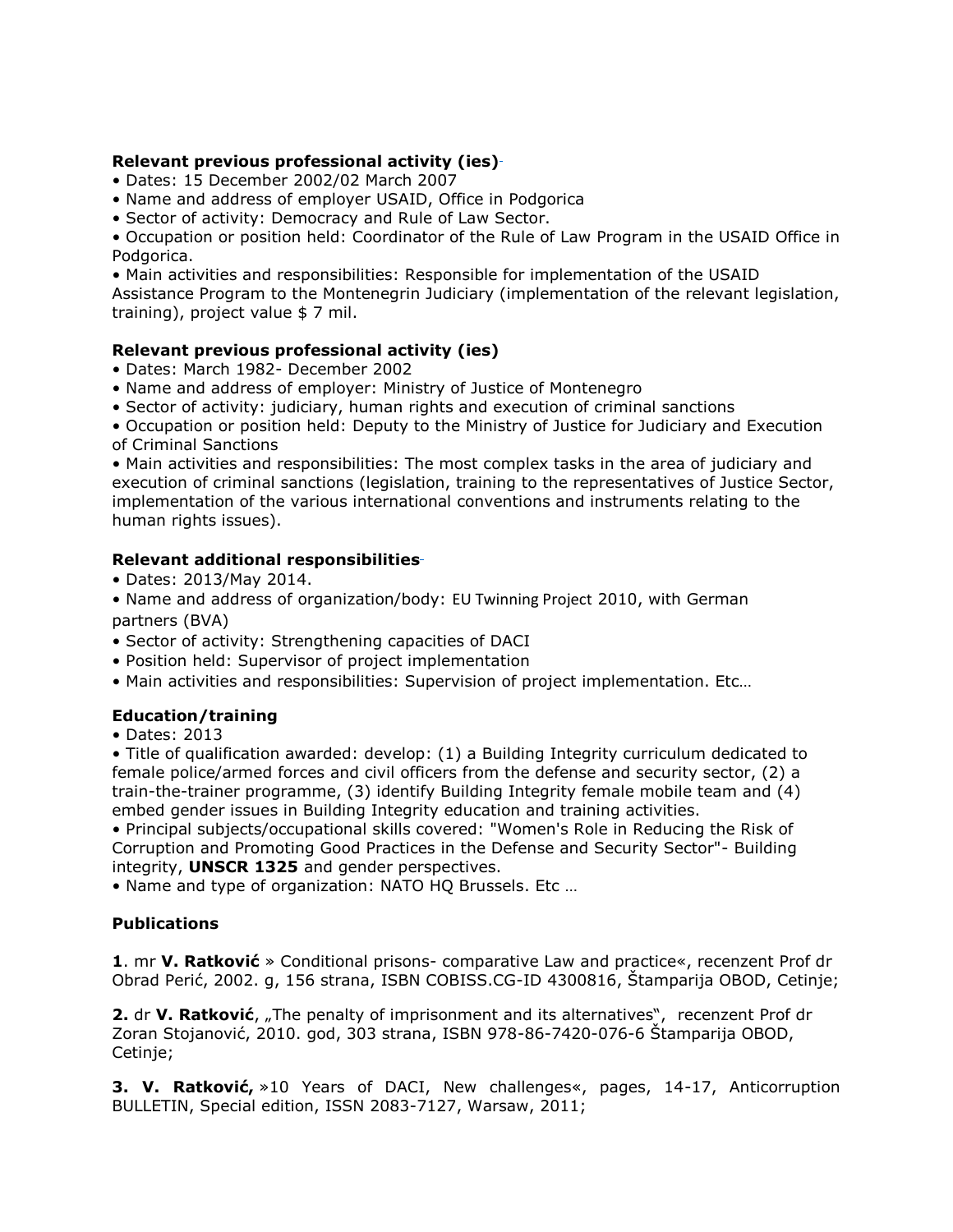## **Relevant previous professional activity (ies[\)](https://mail.gov.me/owa/redir.aspx?C=bbceda91deaa46ca871a995798d8bed3&URL=https%3a%2f%2fwcd.coe.int%2fViewDoc.jsp%3fRef%3dCM%2fRes(2014)43%26Language%3dlanFrench%26Ver%3doriginal%26Site%3dCOE%26BackColorInternet%3dDBDCF2%26BackColorIntranet%3dFDC864%26BackColorLogged%3dFDC864%23P143_8762)**

- Dates: 15 December 2002/02 March 2007
- Name and address of employer USAID, Office in Podgorica
- Sector of activity: Democracy and Rule of Law Sector.

• Occupation or position held: Coordinator of the Rule of Law Program in the USAID Office in Podgorica.

• Main activities and responsibilities: Responsible for implementation of the USAID Assistance Program to the Montenegrin Judiciary (implementation of the relevant legislation, training), project value \$ 7 mil.

# **Relevant previous professional activity (ies)**

- Dates: March 1982- December 2002
- Name and address of employer: Ministry of Justice of Montenegro
- Sector of activity: judiciary, human rights and execution of criminal sanctions

• Occupation or position held: Deputy to the Ministry of Justice for Judiciary and Execution of Criminal Sanctions

• Main activities and responsibilities: The most complex tasks in the area of judiciary and execution of criminal sanctions (legislation, training to the representatives of Justice Sector, implementation of the various international conventions and instruments relating to the human rights issues).

## **Relevant additional responsibilitie[s](https://mail.gov.me/owa/redir.aspx?C=bbceda91deaa46ca871a995798d8bed3&URL=https%3a%2f%2fwcd.coe.int%2fViewDoc.jsp%3fRef%3dCM%2fRes(2014)43%26Language%3dlanFrench%26Ver%3doriginal%26Site%3dCOE%26BackColorInternet%3dDBDCF2%26BackColorIntranet%3dFDC864%26BackColorLogged%3dFDC864%23P151_9033)**

- Dates: 2013/May 2014.
- Name and address of organization/body: EU Twinning Project 2010, with German partners (BVA)
- Sector of activity: Strengthening capacities of DACI
- Position held: Supervisor of project implementation
- Main activities and responsibilities: Supervision of project implementation. Etc…

# **Education/training**

• Dates: 2013

• Title of qualification awarded: develop: (1) a Building Integrity curriculum dedicated to female police/armed forces and civil officers from the defense and security sector, (2) a train-the-trainer programme, (3) identify Building Integrity female mobile team and (4) embed gender issues in Building Integrity education and training activities.

• Principal subjects/occupational skills covered: "Women's Role in Reducing the Risk of Corruption and Promoting Good Practices in the Defense and Security Sector"- Building integrity, **UNSCR 1325** and gender perspectives.

• Name and type of organization: NATO HQ Brussels. Etc …

# **Publications**

**1**. mr **V. Ratković** » Conditional prisons- comparative Law and practice«, recenzent Prof dr Obrad Perić, 2002. g, 156 strana, ISBN COBISS.CG-ID 4300816, Štamparija OBOD, Cetinje;

**2.** dr **V. Ratković**, "The penalty of imprisonment and its alternatives", recenzent Prof dr Zoran Stojanović, 2010. god, 303 strana, ISBN 978-86-7420-076-6 Štamparija OBOD, Cetinje;

**3. V. Ratković,** »10 Years of DACI, New challenges«, pages, 14-17, Anticorruption BULLETIN, Special edition, ISSN 2083-7127, Warsaw, 2011;